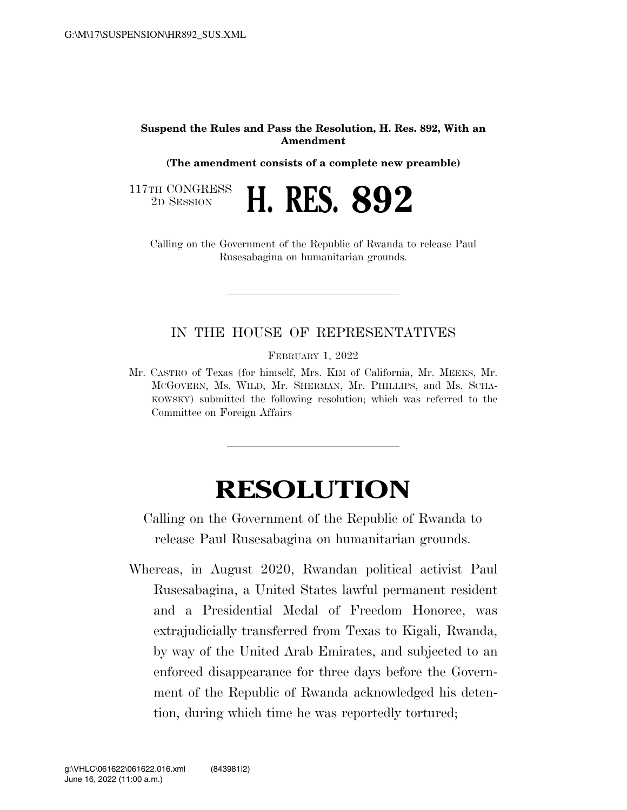## **Suspend the Rules and Pass the Resolution, H. Res. 892, With an Amendment**

**(The amendment consists of a complete new preamble)** 

2D SESSION **H. RES. 892** 

117TH CONGRESS<br>2D SESSION

Calling on the Government of the Republic of Rwanda to release Paul Rusesabagina on humanitarian grounds.

## IN THE HOUSE OF REPRESENTATIVES

FEBRUARY 1, 2022

Mr. CASTRO of Texas (for himself, Mrs. KIM of California, Mr. MEEKS, Mr. MCGOVERN, Ms. WILD, Mr. SHERMAN, Mr. PHILLIPS, and Ms. SCHA-KOWSKY) submitted the following resolution; which was referred to the Committee on Foreign Affairs

## **RESOLUTION**

Calling on the Government of the Republic of Rwanda to release Paul Rusesabagina on humanitarian grounds.

Whereas, in August 2020, Rwandan political activist Paul Rusesabagina, a United States lawful permanent resident and a Presidential Medal of Freedom Honoree, was extrajudicially transferred from Texas to Kigali, Rwanda, by way of the United Arab Emirates, and subjected to an enforced disappearance for three days before the Government of the Republic of Rwanda acknowledged his detention, during which time he was reportedly tortured;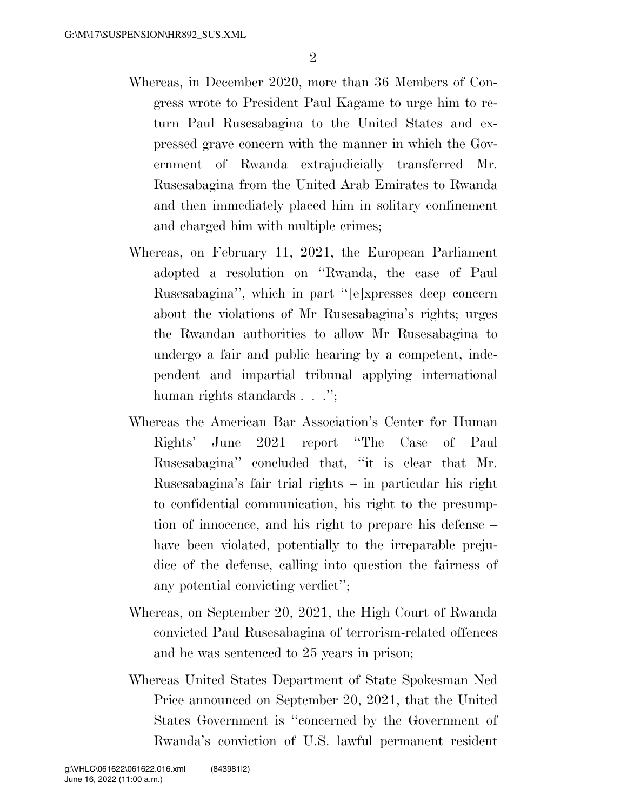- Whereas, in December 2020, more than 36 Members of Congress wrote to President Paul Kagame to urge him to return Paul Rusesabagina to the United States and expressed grave concern with the manner in which the Government of Rwanda extrajudicially transferred Mr. Rusesabagina from the United Arab Emirates to Rwanda and then immediately placed him in solitary confinement and charged him with multiple crimes;
- Whereas, on February 11, 2021, the European Parliament adopted a resolution on ''Rwanda, the case of Paul Rusesabagina'', which in part ''[e]xpresses deep concern about the violations of Mr Rusesabagina's rights; urges the Rwandan authorities to allow Mr Rusesabagina to undergo a fair and public hearing by a competent, independent and impartial tribunal applying international human rights standards . . .'';
- Whereas the American Bar Association's Center for Human Rights' June 2021 report ''The Case of Paul Rusesabagina'' concluded that, ''it is clear that Mr. Rusesabagina's fair trial rights – in particular his right to confidential communication, his right to the presumption of innocence, and his right to prepare his defense – have been violated, potentially to the irreparable prejudice of the defense, calling into question the fairness of any potential convicting verdict'';
- Whereas, on September 20, 2021, the High Court of Rwanda convicted Paul Rusesabagina of terrorism-related offences and he was sentenced to 25 years in prison;
- Whereas United States Department of State Spokesman Ned Price announced on September 20, 2021, that the United States Government is ''concerned by the Government of Rwanda's conviction of U.S. lawful permanent resident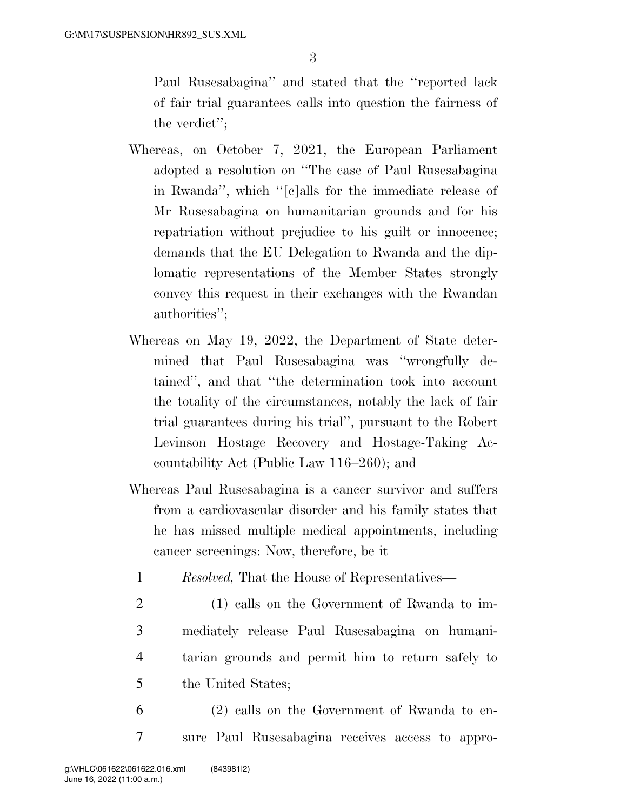Paul Rusesabagina'' and stated that the ''reported lack of fair trial guarantees calls into question the fairness of the verdict'';

- Whereas, on October 7, 2021, the European Parliament adopted a resolution on ''The case of Paul Rusesabagina in Rwanda'', which ''[c]alls for the immediate release of Mr Rusesabagina on humanitarian grounds and for his repatriation without prejudice to his guilt or innocence; demands that the EU Delegation to Rwanda and the diplomatic representations of the Member States strongly convey this request in their exchanges with the Rwandan authorities'';
- Whereas on May 19, 2022, the Department of State determined that Paul Rusesabagina was ''wrongfully detained'', and that ''the determination took into account the totality of the circumstances, notably the lack of fair trial guarantees during his trial'', pursuant to the Robert Levinson Hostage Recovery and Hostage-Taking Accountability Act (Public Law 116–260); and
- Whereas Paul Rusesabagina is a cancer survivor and suffers from a cardiovascular disorder and his family states that he has missed multiple medical appointments, including cancer screenings: Now, therefore, be it
	- 1 *Resolved,* That the House of Representatives—
	- 2 (1) calls on the Government of Rwanda to im-3 mediately release Paul Rusesabagina on humani-4 tarian grounds and permit him to return safely to 5 the United States;
- 6 (2) calls on the Government of Rwanda to en-7 sure Paul Rusesabagina receives access to appro-